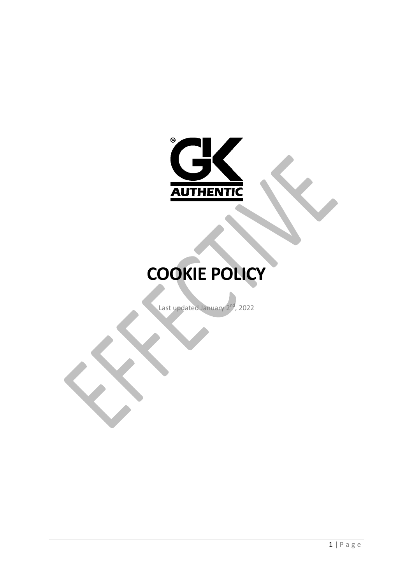

# **COOKIE POLICY**

Last updated January 2<sup>nd</sup>, 2022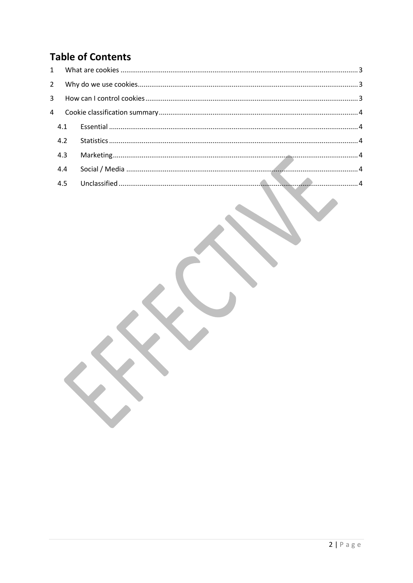#### **Table of Contents**

| 4.3 |  |
|-----|--|
| 4.4 |  |
| 4.5 |  |
|     |  |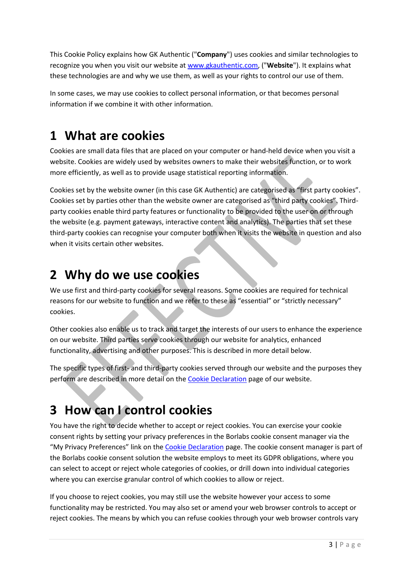This Cookie Policy explains how GK Authentic ("**Company**") uses cookies and similar technologies to recognize you when you visit our website a[t www.gkauthentic.com,](http://www.gkauthentic.com/) ("**Website**"). It explains what these technologies are and why we use them, as well as your rights to control our use of them.

In some cases, we may use cookies to collect personal information, or that becomes personal information if we combine it with other information.

# <span id="page-2-0"></span>**1 What are cookies**

Cookies are small data files that are placed on your computer or hand-held device when you visit a website. Cookies are widely used by websites owners to make their websites function, or to work more efficiently, as well as to provide usage statistical reporting information.

Cookies set by the website owner (in this case GK Authentic) are categorised as "first party cookies". Cookies set by parties other than the website owner are categorised as "third party cookies". Thirdparty cookies enable third party features or functionality to be provided to the user on or through the website (e.g. payment gateways, interactive content and analytics). The parties that set these third-party cookies can recognise your computer both when it visits the website in question and also when it visits certain other websites.

# <span id="page-2-1"></span>**2 Why do we use cookies**

We use first and third-party cookies for several reasons. Some cookies are required for technical reasons for our website to function and we refer to these as "essential" or "strictly necessary" cookies.

Other cookies also enable us to track and target the interests of our users to enhance the experience on our website. Third parties serve cookies through our website for analytics, enhanced functionality, advertising and other purposes. This is described in more detail below.

The specific types of first- and third-party cookies served through our website and the purposes they perform are described in more detail on the [Cookie Declaration](https://gkauthentic.com/cookie-declaration) page of our website.

# <span id="page-2-2"></span>**3 How can I control cookies**

You have the right to decide whether to accept or reject cookies. You can exercise your cookie consent rights by setting your privacy preferences in the Borlabs cookie consent manager via the "My Privacy Preferences" link on the [Cookie Declaration](https://gkauthentic.com/cookie-declaration) page. The cookie consent manager is part of the Borlabs cookie consent solution the website employs to meet its GDPR obligations, where you can select to accept or reject whole categories of cookies, or drill down into individual categories where you can exercise granular control of which cookies to allow or reject.

If you choose to reject cookies, you may still use the website however your access to some functionality may be restricted. You may also set or amend your web browser controls to accept or reject cookies. The means by which you can refuse cookies through your web browser controls vary